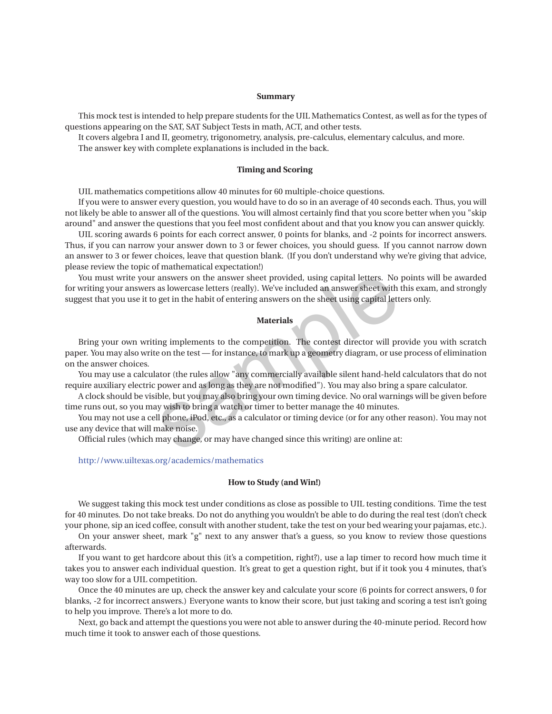### **Summary**

This mock test is intended to help prepare students for the UIL Mathematics Contest, as well as for the types of questions appearing on the SAT, SAT Subject Tests in math, ACT, and other tests.

It covers algebra I and II, geometry, trigonometry, analysis, pre-calculus, elementary calculus, and more. The answer key with complete explanations is included in the back.

### **Timing and Scoring**

UIL mathematics competitions allow 40 minutes for 60 multiple-choice questions.

If you were to answer every question, you would have to do so in an average of 40 seconds each. Thus, you will not likely be able to answer all of the questions. You will almost certainly find that you score better when you "skip around" and answer the questions that you feel most confident about and that you know you can answer quickly.

UIL scoring awards 6 points for each correct answer, 0 points for blanks, and -2 points for incorrect answers. Thus, if you can narrow your answer down to 3 or fewer choices, you should guess. If you cannot narrow down an answer to 3 or fewer choices, leave that question blank. (If you don't understand why we're giving that advice, please review the topic of mathematical expectation!)

You must write your answers on the answer sheet provided, using capital letters. No points will be awarded for writing your answers as lowercase letters (really). We've included an answer sheet with this exam, and strongly suggest that you use it to get in the habit of entering answers on the sheet using capital letters only. answers on the answer sheet provided, using capital letters. No<br>as lowercase letters (really). We've included an answer sheet with t<br>get in the habit of entering answers on the sheet using capital lett<br>**Materials**<br>ing impl

### **Materials**

Bring your own writing implements to the competition. The contest director will provide you with scratch paper. You may also write on the test — for instance, to mark up a geometry diagram, or use process of elimination on the answer choices.

You may use a calculator (the rules allow "any commercially available silent hand-held calculators that do not require auxiliary electric power and as long as they are not modified"). You may also bring a spare calculator.

A clock should be visible, but you may also bring your own timing device. No oral warnings will be given before time runs out, so you may wish to bring a watch or timer to better manage the 40 minutes.

You may not use a cell phone, iPod, etc., as a calculator or timing device (or for any other reason). You may not use any device that will make noise.

Official rules (which may change, or may have changed since this writing) are online at:

### http://www.uiltexas.org/academics/mathematics

#### **How to Study (and Win!)**

We suggest taking this mock test under conditions as close as possible to UIL testing conditions. Time the test for 40 minutes. Do not take breaks. Do not do anything you wouldn't be able to do during the real test (don't check your phone, sip an iced coffee, consult with another student, take the test on your bed wearing your pajamas, etc.).

On your answer sheet, mark "g" next to any answer that's a guess, so you know to review those questions afterwards.

If you want to get hardcore about this (it's a competition, right?), use a lap timer to record how much time it takes you to answer each individual question. It's great to get a question right, but if it took you 4 minutes, that's way too slow for a UIL competition.

Once the 40 minutes are up, check the answer key and calculate your score (6 points for correct answers, 0 for blanks, -2 for incorrect answers.) Everyone wants to know their score, but just taking and scoring a test isn't going to help you improve. There's a lot more to do.

Next, go back and attempt the questions you were not able to answer during the 40-minute period. Record how much time it took to answer each of those questions.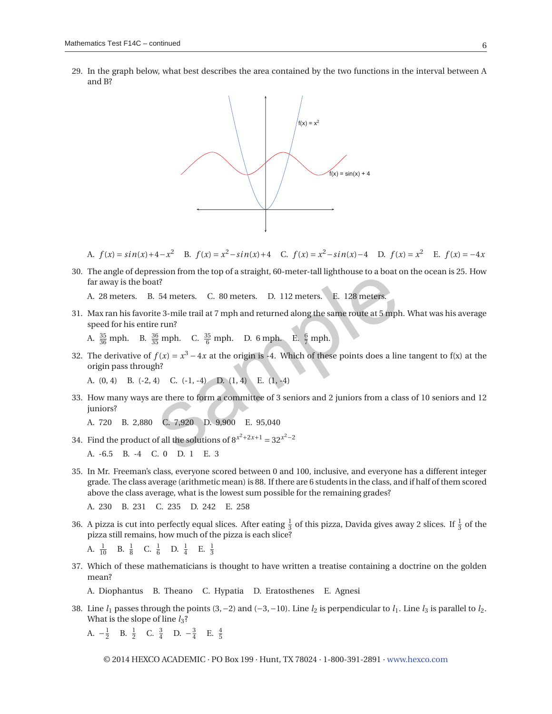29. In the graph below, what best describes the area contained by the two functions in the interval between A and B?



A.  $f(x) = \sin(x) + 4 - x^2$  B.  $f(x) = x^2 - \sin(x) + 4$  C.  $f(x) = x^2 - \sin(x) - 4$  D.  $f(x) = x^2$  E.  $f(x) = -4x$ 

30. The angle of depression from the top of a straight, 60-meter-tall lighthouse to a boat on the ocean is 25. How far away is the boat?

A. 28 meters. B. 54 meters. C. 80 meters. D. 112 meters. E. 128 meters.

31. Max ran his favorite 3-mile trail at 7 mph and returned along the same route at 5 mph. What was his average speed for his entire run?

A.  $\frac{35}{36}$  mph. B.  $\frac{36}{35}$  mph. C.  $\frac{35}{6}$  mph. D. 6 mph. E.  $\frac{6}{7}$  mph.

32. The derivative of  $f(x) = x^3 - 4x$  at the origin is -4. Which of these points does a line tangent to f(x) at the origin pass through? 54 meters. C. 80 meters. D. 112 meters. E. 128 meters.<br>
f?<br>
f3 meters. C. 80 meters. D. 112 meters. E. 128 meters.<br>
e 3-mile trail at 7 mph and returned along the same route at 5 mph<br>
e run?<br>  $\frac{3}{5}$  mph. C.  $\frac{35}{6}$ 

A. (0, 4) B. (-2, 4) C. (-1, -4) D. (1, 4) E. (1, -4)

33. How many ways are there to form a committee of 3 seniors and 2 juniors from a class of 10 seniors and 12 juniors?

A. 720 B. 2,880 C. 7,920 D. 9,900 E. 95,040

34. Find the product of all the solutions of  $8^{x^2+2x+1} = 32^{x^2-2}$ 

A. -6.5 B. -4 C. 0 D. 1 E. 3

35. In Mr. Freeman's class, everyone scored between 0 and 100, inclusive, and everyone has a different integer grade. The class average (arithmetic mean) is 88. If there are 6 students in the class, and if half of them scored above the class average, what is the lowest sum possible for the remaining grades?

A. 230 B. 231 C. 235 D. 242 E. 258

36. A pizza is cut into perfectly equal slices. After eating  $\frac{1}{3}$  of this pizza, Davida gives away 2 slices. If  $\frac{1}{3}$  of the pizza still remains, how much of the pizza is each slice?

A.  $\frac{1}{10}$  B.  $\frac{1}{8}$  C.  $\frac{1}{6}$  D.  $\frac{1}{4}$  E.  $\frac{1}{3}$ 

37. Which of these mathematicians is thought to have written a treatise containing a doctrine on the golden mean?

A. Diophantus B. Theano C. Hypatia D. Eratosthenes E. Agnesi

38. Line  $l_1$  passes through the points (3,−2) and (−3,−10). Line  $l_2$  is perpendicular to  $l_1$ . Line  $l_3$  is parallel to  $l_2$ . What is the slope of line  $l_3$ ?

A.  $-\frac{1}{2}$  B.  $\frac{1}{2}$  C.  $\frac{3}{4}$  D.  $-\frac{3}{4}$  E.  $\frac{4}{5}$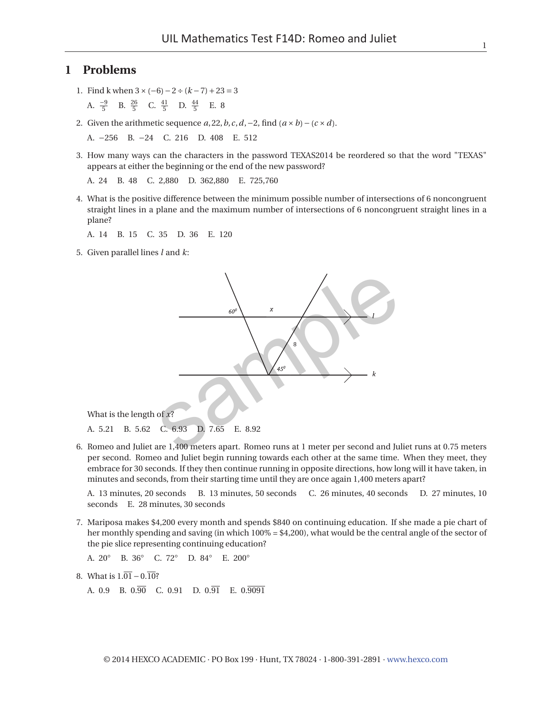# **1 Problems**

1. Find k when 3×(−6)−2÷(*k* −7)+23 = 3

A.  $\frac{-9}{5}$  B.  $\frac{26}{5}$  C.  $\frac{41}{5}$  D.  $\frac{44}{5}$  E. 8

2. Given the arithmetic sequence *a*, 22,*b*,*c*,*d*,−2, find (*a* ×*b*)−(*c* ×*d*).

A. −256 B. −24 C. 216 D. 408 E. 512

3. How many ways can the characters in the password TEXAS2014 be reordered so that the word "TEXAS" appears at either the beginning or the end of the new password?

A. 24 B. 48 C. 2,880 D. 362,880 E. 725,760

4. What is the positive difference between the minimum possible number of intersections of 6 noncongruent straight lines in a plane and the maximum number of intersections of 6 noncongruent straight lines in a plane?

A. 14 B. 15 C. 35 D. 36 E. 120

5. Given parallel lines *l* and *k*:



What is the length of *x*?

A. 5.21 B. 5.62 C. 6.93 D. 7.65 E. 8.92

6. Romeo and Juliet are 1,400 meters apart. Romeo runs at 1 meter per second and Juliet runs at 0.75 meters per second. Romeo and Juliet begin running towards each other at the same time. When they meet, they embrace for 30 seconds. If they then continue running in opposite directions, how long will it have taken, in minutes and seconds, from their starting time until they are once again 1,400 meters apart?

A. 13 minutes, 20 seconds B. 13 minutes, 50 seconds C. 26 minutes, 40 seconds D. 27 minutes, 10 seconds E. 28 minutes, 30 seconds

7. Mariposa makes \$4,200 every month and spends \$840 on continuing education. If she made a pie chart of her monthly spending and saving (in which  $100\% = $4,200$ ), what would be the central angle of the sector of the pie slice representing continuing education?

A. 20◦ B. 36◦ C. 72◦ D. 84◦ E. 200◦

8. What is  $1.\overline{01} - 0.\overline{10}$ ?

A.  $0.9$  B.  $0.\overline{90}$  C.  $0.91$  D.  $0.\overline{91}$  E.  $0.\overline{9091}$